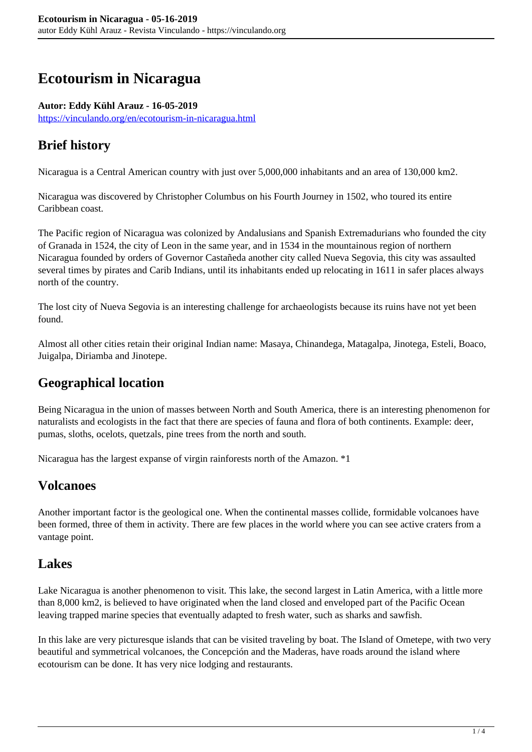# **Ecotourism in Nicaragua**

#### **Autor: Eddy Kühl Arauz - 16-05-2019**

<https://vinculando.org/en/ecotourism-in-nicaragua.html>

# **Brief history**

Nicaragua is a Central American country with just over 5,000,000 inhabitants and an area of 130,000 km2.

Nicaragua was discovered by Christopher Columbus on his Fourth Journey in 1502, who toured its entire Caribbean coast.

The Pacific region of Nicaragua was colonized by Andalusians and Spanish Extremadurians who founded the city of Granada in 1524, the city of Leon in the same year, and in 1534 in the mountainous region of northern Nicaragua founded by orders of Governor Castañeda another city called Nueva Segovia, this city was assaulted several times by pirates and Carib Indians, until its inhabitants ended up relocating in 1611 in safer places always north of the country.

The lost city of Nueva Segovia is an interesting challenge for archaeologists because its ruins have not yet been found.

Almost all other cities retain their original Indian name: Masaya, Chinandega, Matagalpa, Jinotega, Esteli, Boaco, Juigalpa, Diriamba and Jinotepe.

# **Geographical location**

Being Nicaragua in the union of masses between North and South America, there is an interesting phenomenon for naturalists and ecologists in the fact that there are species of fauna and flora of both continents. Example: deer, pumas, sloths, ocelots, quetzals, pine trees from the north and south.

Nicaragua has the largest expanse of virgin rainforests north of the Amazon. \*1

### **Volcanoes**

Another important factor is the geological one. When the continental masses collide, formidable volcanoes have been formed, three of them in activity. There are few places in the world where you can see active craters from a vantage point.

### **Lakes**

Lake Nicaragua is another phenomenon to visit. This lake, the second largest in Latin America, with a little more than 8,000 km2, is believed to have originated when the land closed and enveloped part of the Pacific Ocean leaving trapped marine species that eventually adapted to fresh water, such as sharks and sawfish.

In this lake are very picturesque islands that can be visited traveling by boat. The Island of Ometepe, with two very beautiful and symmetrical volcanoes, the Concepción and the Maderas, have roads around the island where ecotourism can be done. It has very nice lodging and restaurants.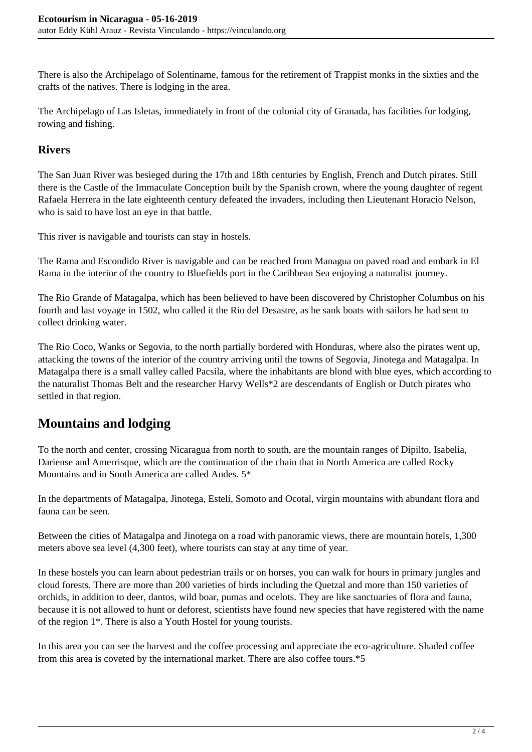There is also the Archipelago of Solentiname, famous for the retirement of Trappist monks in the sixties and the crafts of the natives. There is lodging in the area.

The Archipelago of Las Isletas, immediately in front of the colonial city of Granada, has facilities for lodging, rowing and fishing.

#### **Rivers**

The San Juan River was besieged during the 17th and 18th centuries by English, French and Dutch pirates. Still there is the Castle of the Immaculate Conception built by the Spanish crown, where the young daughter of regent Rafaela Herrera in the late eighteenth century defeated the invaders, including then Lieutenant Horacio Nelson, who is said to have lost an eye in that battle.

This river is navigable and tourists can stay in hostels.

The Rama and Escondido River is navigable and can be reached from Managua on paved road and embark in El Rama in the interior of the country to Bluefields port in the Caribbean Sea enjoying a naturalist journey.

The Rio Grande of Matagalpa, which has been believed to have been discovered by Christopher Columbus on his fourth and last voyage in 1502, who called it the Rio del Desastre, as he sank boats with sailors he had sent to collect drinking water.

The Rio Coco, Wanks or Segovia, to the north partially bordered with Honduras, where also the pirates went up, attacking the towns of the interior of the country arriving until the towns of Segovia, Jinotega and Matagalpa. In Matagalpa there is a small valley called Pacsila, where the inhabitants are blond with blue eyes, which according to the naturalist Thomas Belt and the researcher Harvy Wells\*2 are descendants of English or Dutch pirates who settled in that region.

# **Mountains and lodging**

To the north and center, crossing Nicaragua from north to south, are the mountain ranges of Dipilto, Isabelia, Dariense and Amerrisque, which are the continuation of the chain that in North America are called Rocky Mountains and in South America are called Andes. 5\*

In the departments of Matagalpa, Jinotega, Estelí, Somoto and Ocotal, virgin mountains with abundant flora and fauna can be seen.

Between the cities of Matagalpa and Jinotega on a road with panoramic views, there are mountain hotels, 1,300 meters above sea level (4,300 feet), where tourists can stay at any time of year.

In these hostels you can learn about pedestrian trails or on horses, you can walk for hours in primary jungles and cloud forests. There are more than 200 varieties of birds including the Quetzal and more than 150 varieties of orchids, in addition to deer, dantos, wild boar, pumas and ocelots. They are like sanctuaries of flora and fauna, because it is not allowed to hunt or deforest, scientists have found new species that have registered with the name of the region 1\*. There is also a Youth Hostel for young tourists.

In this area you can see the harvest and the coffee processing and appreciate the eco-agriculture. Shaded coffee from this area is coveted by the international market. There are also coffee tours.\*5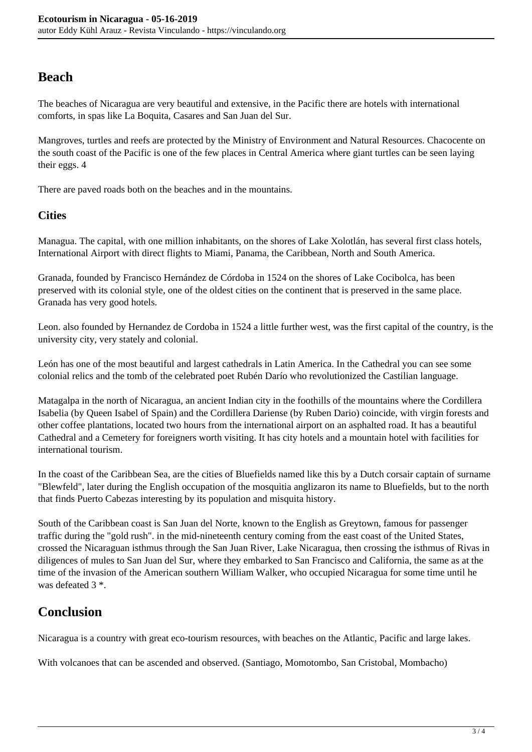## **Beach**

The beaches of Nicaragua are very beautiful and extensive, in the Pacific there are hotels with international comforts, in spas like La Boquita, Casares and San Juan del Sur.

Mangroves, turtles and reefs are protected by the Ministry of Environment and Natural Resources. Chacocente on the south coast of the Pacific is one of the few places in Central America where giant turtles can be seen laying their eggs. 4

There are paved roads both on the beaches and in the mountains.

#### **Cities**

Managua. The capital, with one million inhabitants, on the shores of Lake Xolotlán, has several first class hotels, International Airport with direct flights to Miami, Panama, the Caribbean, North and South America.

Granada, founded by Francisco Hernández de Córdoba in 1524 on the shores of Lake Cocibolca, has been preserved with its colonial style, one of the oldest cities on the continent that is preserved in the same place. Granada has very good hotels.

Leon. also founded by Hernandez de Cordoba in 1524 a little further west, was the first capital of the country, is the university city, very stately and colonial.

León has one of the most beautiful and largest cathedrals in Latin America. In the Cathedral you can see some colonial relics and the tomb of the celebrated poet Rubén Darío who revolutionized the Castilian language.

Matagalpa in the north of Nicaragua, an ancient Indian city in the foothills of the mountains where the Cordillera Isabelia (by Queen Isabel of Spain) and the Cordillera Dariense (by Ruben Dario) coincide, with virgin forests and other coffee plantations, located two hours from the international airport on an asphalted road. It has a beautiful Cathedral and a Cemetery for foreigners worth visiting. It has city hotels and a mountain hotel with facilities for international tourism.

In the coast of the Caribbean Sea, are the cities of Bluefields named like this by a Dutch corsair captain of surname "Blewfeld", later during the English occupation of the mosquitia anglizaron its name to Bluefields, but to the north that finds Puerto Cabezas interesting by its population and misquita history.

South of the Caribbean coast is San Juan del Norte, known to the English as Greytown, famous for passenger traffic during the "gold rush". in the mid-nineteenth century coming from the east coast of the United States, crossed the Nicaraguan isthmus through the San Juan River, Lake Nicaragua, then crossing the isthmus of Rivas in diligences of mules to San Juan del Sur, where they embarked to San Francisco and California, the same as at the time of the invasion of the American southern William Walker, who occupied Nicaragua for some time until he was defeated 3  $*$ 

### **Conclusion**

Nicaragua is a country with great eco-tourism resources, with beaches on the Atlantic, Pacific and large lakes.

With volcanoes that can be ascended and observed. (Santiago, Momotombo, San Cristobal, Mombacho)